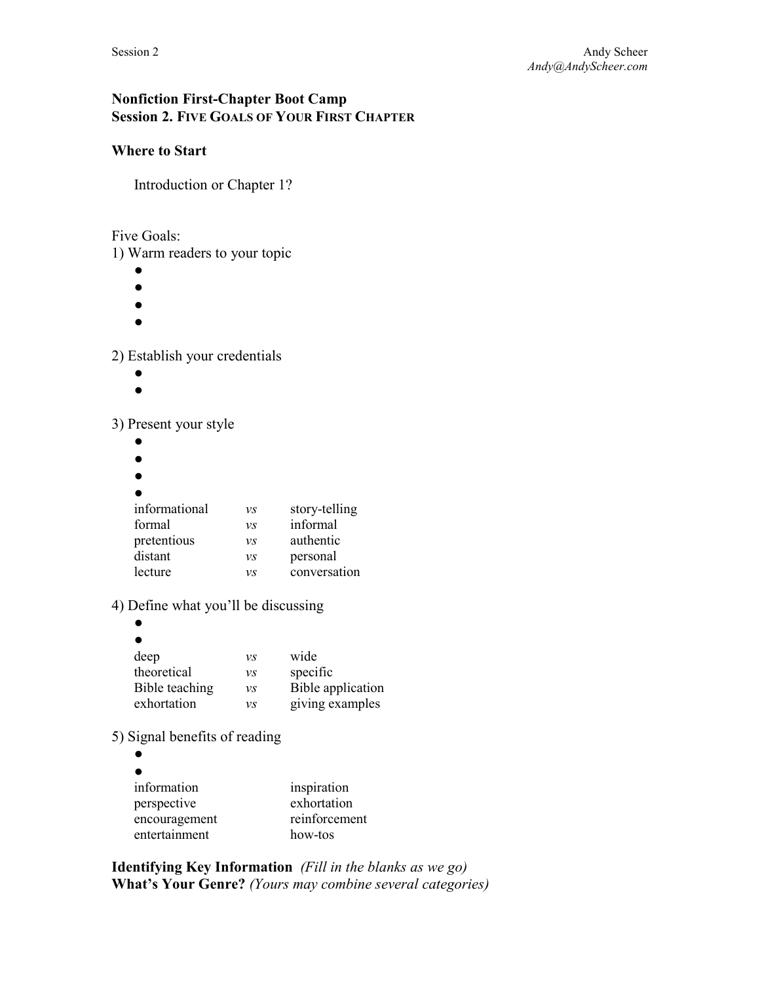# **Nonfiction First-Chapter Boot Camp Session 2. FIVE GOALS OF YOUR FIRST CHAPTER**

# **Where to Start**

Introduction or Chapter 1?

Five Goals:

1) Warm readers to your topic

- $\bullet$
- ●
- $\bullet$
- $\bullet$

2) Establish your credentials

- ●
- $\bullet$

3) Present your style

- ●
- ●
- ●

| informational | V.S | story-telling |
|---------------|-----|---------------|
| formal        | V.S | informal      |
| pretentious   | V.S | authentic     |
| distant       | V.S | personal      |
| lecture       | νs  | conversation  |

4) Define what you'll be discussing

| deep           | νs | wide              |
|----------------|----|-------------------|
| theoretical    | νs | specific          |
| Bible teaching | νs | Bible application |
| exhortation    | νs | giving examples   |

5) Signal benefits of reading

 $\bullet$  $\bullet$ information

| inspiration   |
|---------------|
| exhortation   |
| reinforcement |
| how-tos       |
|               |

**Identifying Key Information** *(Fill in the blanks as we go)* **What's Your Genre?** *(Yours may combine several categories)*